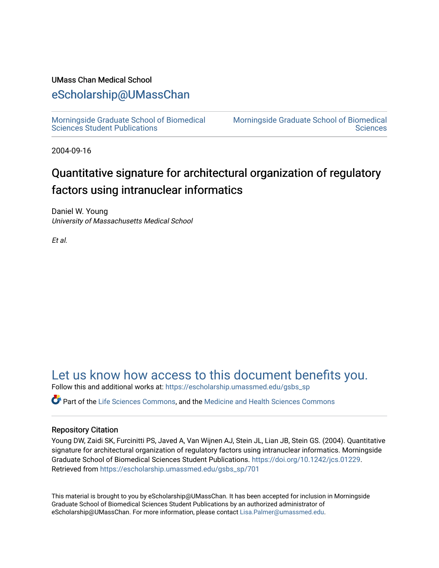## UMass Chan Medical School

## [eScholarship@UMassChan](https://escholarship.umassmed.edu/)

[Morningside Graduate School of Biomedical](https://escholarship.umassmed.edu/gsbs_sp)  [Sciences Student Publications](https://escholarship.umassmed.edu/gsbs_sp) 

[Morningside Graduate School of Biomedical](https://escholarship.umassmed.edu/gsbs)  **Sciences** 

2004-09-16

# Quantitative signature for architectural organization of regulatory factors using intranuclear informatics

Daniel W. Young University of Massachusetts Medical School

Et al.

[Let us know how access to this document benefits you.](https://arcsapps.umassmed.edu/redcap/surveys/?s=XWRHNF9EJE) 

Follow this and additional works at: [https://escholarship.umassmed.edu/gsbs\\_sp](https://escholarship.umassmed.edu/gsbs_sp?utm_source=escholarship.umassmed.edu%2Fgsbs_sp%2F701&utm_medium=PDF&utm_campaign=PDFCoverPages)

Part of the [Life Sciences Commons,](http://network.bepress.com/hgg/discipline/1016?utm_source=escholarship.umassmed.edu%2Fgsbs_sp%2F701&utm_medium=PDF&utm_campaign=PDFCoverPages) and the [Medicine and Health Sciences Commons](http://network.bepress.com/hgg/discipline/648?utm_source=escholarship.umassmed.edu%2Fgsbs_sp%2F701&utm_medium=PDF&utm_campaign=PDFCoverPages)

## Repository Citation

Young DW, Zaidi SK, Furcinitti PS, Javed A, Van Wijnen AJ, Stein JL, Lian JB, Stein GS. (2004). Quantitative signature for architectural organization of regulatory factors using intranuclear informatics. Morningside Graduate School of Biomedical Sciences Student Publications. [https://doi.org/10.1242/jcs.01229.](https://doi.org/10.1242/jcs.01229) Retrieved from [https://escholarship.umassmed.edu/gsbs\\_sp/701](https://escholarship.umassmed.edu/gsbs_sp/701?utm_source=escholarship.umassmed.edu%2Fgsbs_sp%2F701&utm_medium=PDF&utm_campaign=PDFCoverPages)

This material is brought to you by eScholarship@UMassChan. It has been accepted for inclusion in Morningside Graduate School of Biomedical Sciences Student Publications by an authorized administrator of eScholarship@UMassChan. For more information, please contact [Lisa.Palmer@umassmed.edu](mailto:Lisa.Palmer@umassmed.edu).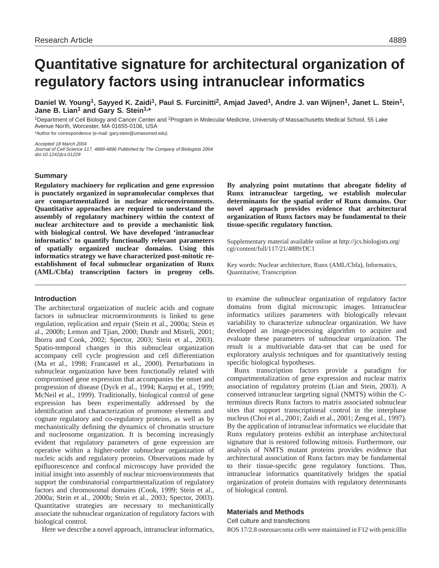Daniel W. Young<sup>1</sup>, Sayyed K. Zaidi<sup>1</sup>, Paul S. Furcinitti<sup>2</sup>, Amjad Javed<sup>1</sup>, Andre J. van Wijnen<sup>1</sup>, Janet L. Stein<sup>1</sup>, **Jane B. Lian1 and Gary S. Stein1,\***

<sup>1</sup>Department of Cell Biology and Cancer Center and <sup>2</sup>Program in Molecular Medicine, University of Massachusetts Medical School, 55 Lake Avenue North, Worcester, MA 01655-0106, USA

\*Author for correspondence (e-mail: gary.stein@umassmed.edu)

Accepted 18 March 2004 Journal of Cell Science 117, 4889-4896 Published by The Company of Biologists 2004 doi:10.1242/jcs.01229

#### **Summary**

**Regulatory machinery for replication and gene expression is punctately organized in supramolecular complexes that are compartmentalized in nuclear microenvironments. Quantitative approaches are required to understand the assembly of regulatory machinery within the context of nuclear architecture and to provide a mechanistic link with biological control. We have developed 'intranuclear informatics' to quantify functionally relevant parameters of spatially organized nuclear domains. Using this informatics strategy we have characterized post-mitotic reestablishment of focal subnuclear organization of Runx (AML/Cbfa) transcription factors in progeny cells.**

#### **Introduction**

The architectural organization of nucleic acids and cognate factors in subnuclear microenvironments is linked to gene regulation, replication and repair (Stein et al., 2000a; Stein et al., 2000b; Lemon and Tjian, 2000; Dundr and Misteli, 2001; Iborra and Cook, 2002; Spector, 2003; Stein et al., 2003). Spatio-temporal changes in this subnuclear organization accompany cell cycle progression and cell differentiation (Ma et al., 1998; Francastel et al., 2000). Perturbations in subnuclear organization have been functionally related with compromised gene expression that accompanies the onset and progression of disease (Dyck et al., 1994; Karpuj et al., 1999; McNeil et al., 1999). Traditionally, biological control of gene expression has been experimentally addressed by the identification and characterization of promoter elements and cognate regulatory and co-regulatory proteins, as well as by mechanistically defining the dynamics of chromatin structure and nucleosome organization. It is becoming increasingly evident that regulatory parameters of gene expression are operative within a higher-order subnuclear organization of nucleic acids and regulatory proteins. Observations made by epifluorescence and confocal microscopy have provided the initial insight into assembly of nuclear microenvironments that support the combinatorial compartmentalization of regulatory factors and chromosomal domains (Cook, 1999; Stein et al., 2000a; Stein et al., 2000b; Stein et al., 2003; Spector, 2003). Quantitative strategies are necessary to mechanistically associate the subnuclear organization of regulatory factors with biological control.

Here we describe a novel approach, intranuclear informatics,

**By analyzing point mutations that abrogate fidelity of Runx intranuclear targeting, we establish molecular determinants for the spatial order of Runx domains. Our novel approach provides evidence that architectural organization of Runx factors may be fundamental to their tissue-specific regulatory function.**

Supplementary material available online at http://jcs.biologists.org/ cgi/content/full/117/21/4889/DC1

Key words: Nuclear architecture, Runx (AML/Cbfa), Informatics, Quantitative, Transcription

to examine the subnuclear organization of regulatory factor domains from digital microscopic images. Intranuclear informatics utilizes parameters with biologically relevant variability to characterize subnuclear organization. We have developed an image-processing algorithm to acquire and evaluate these parameters of subnuclear organization. The result is a multivariable data-set that can be used for exploratory analysis techniques and for quantitatively testing specific biological hypotheses.

Runx transcription factors provide a paradigm for compartmentalization of gene expression and nuclear matrix association of regulatory proteins (Lian and Stein, 2003). A conserved intranuclear targeting signal (NMTS) within the Cterminus directs Runx factors to matrix associated subnuclear sites that support transcriptional control in the interphase nucleus (Choi et al., 2001; Zaidi et al., 2001; Zeng et al., 1997). By the application of intranuclear informatics we elucidate that Runx regulatory proteins exhibit an interphase architectural signature that is restored following mitosis. Furthermore, our analysis of NMTS mutant proteins provides evidence that architectural association of Runx factors may be fundamental to their tissue-specific gene regulatory functions. Thus, intranuclear informatics quantitatively bridges the spatial organization of protein domains with regulatory determinants of biological control.

#### **Materials and Methods**

Cell culture and transfections

ROS 17/2.8 osteosarcoma cells were maintained in F12 with penicillin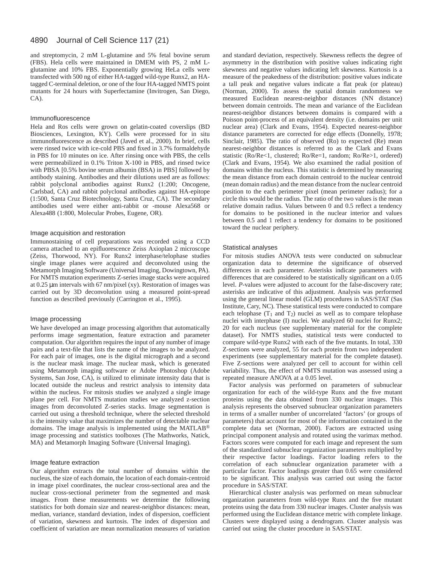and streptomycin, 2 mM L-glutamine and 5% fetal bovine serum (FBS). Hela cells were maintained in DMEM with PS, 2 mM Lglutamine and 10% FBS. Exponentially growing HeLa cells were transfected with 500 ng of either HA-tagged wild-type Runx2, an HAtagged C-terminal deletion, or one of the four HA-tagged NMTS point mutants for 24 hours with Superfectamine (Invitrogen, San Diego, CA).

#### Immunofluorescence

Hela and Ros cells were grown on gelatin-coated coverslips (BD Biosciences, Lexington, KY). Cells were processed for in situ immunofluorescence as described (Javed et al., 2000). In brief, cells were rinsed twice with ice-cold PBS and fixed in 3.7% formaldehyde in PBS for 10 minutes on ice. After rinsing once with PBS, the cells were permeabilized in 0.1% Triton X-100 in PBS, and rinsed twice with PBSA [0.5% bovine serum albumin (BSA) in PBS] followed by antibody staining. Antibodies and their dilutions used are as follows: rabbit polyclonal antibodies against Runx2 (1:200; Oncogene, Carlsbad, CA) and rabbit polyclonal antibodies against HA-epitope (1:500, Santa Cruz Biotechnology, Santa Cruz, CA). The secondary antibodies used were either anti-rabbit or -mouse Alexa568 or Alexa488 (1:800, Molecular Probes, Eugene, OR).

#### Image acquisition and restoration

Immunostaining of cell preparations was recorded using a CCD camera attached to an epifluorescence Zeiss Axioplan 2 microscope (Zeiss, Thorwood, NY). For Runx2 interphase/telophase studies single image planes were acquired and deconvoluted using the Metamorph Imaging Software (Universal Imaging, Dowingtown, PA). For NMTS mutation experiments Z-series image stacks were acquired at 0.25 µm intervals with 67 nm/pixel (xy). Restoration of images was carried out by 3D deconvolution using a measured point-spread function as described previously (Carrington et al., 1995).

#### Image processing

We have developed an image processing algorithm that automatically performs image segmentation, feature extraction and parameter computation. Our algorithm requires the input of any number of image pairs and a text-file that lists the name of the images to be analyzed. For each pair of images, one is the digital micrograph and a second is the nuclear mask image. The nuclear mask, which is generated using Metamorph imaging software or Adobe Photoshop (Adobe Systems, San Jose, CA), is utilized to eliminate intensity data that is located outside the nucleus and restrict analysis to intensity data within the nucleus. For mitosis studies we analyzed a single image plane per cell. For NMTS mutation studies we analyzed z-section images from deconvoluted Z-series stacks. Image segmentation is carried out using a threshold technique, where the selected threshold is the intensity value that maximizes the number of detectable nuclear domains. The image analysis is implemented using the MATLAB® image processing and statistics toolboxes (The Mathworks, Natick, MA) and Metamorph Imaging Software (Universal Imaging).

#### Image feature extraction

Our algorithm extracts the total number of domains within the nucleus, the size of each domain, the location of each domain-centroid in image pixel coordinates, the nuclear cross-sectional area and the nuclear cross-sectional perimeter from the segmented and mask images. From these measurements we determine the following statistics for both domain size and nearest-neighbor distances: mean, median, variance, standard deviation, index of dispersion, coefficient of variation, skewness and kurtosis. The index of dispersion and coefficient of variation are mean normalization measures of variation and standard deviation, respectively. Skewness reflects the degree of asymmetry in the distribution with positive values indicating right skewness and negative values indicating left skewness. Kurtosis is a measure of the peakedness of the distribution: positive values indicate a tall peak and negative values indicate a flat peak (or plateau) (Norman, 2000). To assess the spatial domain randomness we measured Euclidean nearest-neighbor distances (NN distance) between domain centroids. The mean and variance of the Euclidean nearest-neighbor distances between domains is compared with a Poisson point-process of an equivalent density (i.e. domains per unit nuclear area) (Clark and Evans, 1954). Expected nearest-neighbor distance parameters are corrected for edge effects (Donnelly, 1978; Sinclair, 1985). The ratio of observed (Ro) to expected (Re) mean nearest-neighbor distances is referred to as the Clark and Evans statistic (Ro/Re<1, clustered; Ro/Re=1, random; Ro/Re>1, ordered) (Clark and Evans, 1954). We also examined the radial position of domains within the nucleus. This statistic is determined by measuring the mean distance from each domain centroid to the nuclear centroid (mean domain radius) and the mean distance from the nuclear centroid position to the each perimeter pixel (mean perimeter radius); for a circle this would be the radius. The ratio of the two values is the mean relative domain radius. Values between 0 and 0.5 reflect a tendency for domains to be positioned in the nuclear interior and values between 0.5 and 1 reflect a tendency for domains to be positioned toward the nuclear periphery.

#### Statistical analyses

For mitosis studies ANOVA tests were conducted on subnuclear organization data to determine the significance of observed differences in each parameter. Asterisks indicate parameters with differences that are considered to be statistically significant on a 0.05 level. *P*-values were adjusted to account for the false-discovery rate; asterisks are indicative of this adjustment. Analysis was performed using the general linear model (GLM) procedures in SAS/STAT (Sas Institute, Cary, NC). These statistical tests were conducted to compare each telophase  $(T_1$  and  $T_2$ ) nuclei as well as to compare telophase nuclei with interphase (I) nuclei. We analyzed 60 nuclei for Runx2; 20 for each nucleus (see supplementary material for the complete dataset). For NMTS studies, statistical tests were conducted to compare wild-type Runx2 with each of the five mutants. In total, 330 Z-sections were analyzed, 55 for each protein from two independent experiments (see supplementary material for the complete dataset). Five Z-sections were analyzed per cell to account for within cell variability. Thus, the effect of NMTS mutation was assessed using a repeated measure ANOVA at a 0.05 level.

Factor analysis was performed on parameters of subnuclear organization for each of the wild-type Runx and the five mutant proteins using the data obtained from 330 nuclear images. This analysis represents the observed subnuclear organization parameters in terms of a smaller number of uncorrelated 'factors' (or groups of parameters) that account for most of the information contained in the complete data set (Norman, 2000). Factors are extracted using principal component analysis and rotated using the varimax method. Factors scores were computed for each image and represent the sum of the standardized subnuclear organization parameters multiplied by their respective factor loadings. Factor loading refers to the correlation of each subnuclear organization parameter with a particular factor. Factor loadings greater than 0.65 were considered to be significant. This analysis was carried out using the factor procedure in SAS/STAT.

Hierarchical cluster analysis was performed on mean subnuclear organization parameters from wild-type Runx and the five mutant proteins using the data from 330 nuclear images. Cluster analysis was performed using the Euclidean distance metric with complete linkage. Clusters were displayed using a dendrogram. Cluster analysis was carried out using the cluster procedure in SAS/STAT.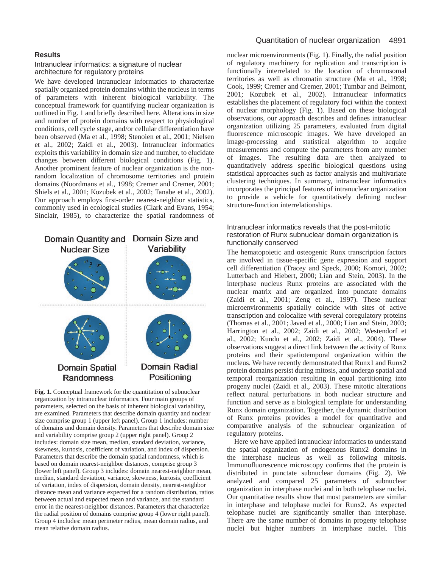#### **Results**

#### Intranuclear informatics: a signature of nuclear architecture for regulatory proteins

We have developed intranuclear informatics to characterize spatially organized protein domains within the nucleus in terms of parameters with inherent biological variability. The conceptual framework for quantifying nuclear organization is outlined in Fig. 1 and briefly described here. Alterations in size and number of protein domains with respect to physiological conditions, cell cycle stage, and/or cellular differentiation have been observed (Ma et al., 1998; Stenoien et al., 2001; Nielsen et al., 2002; Zaidi et al., 2003). Intranuclear informatics exploits this variability in domain size and number, to elucidate changes between different biological conditions (Fig. 1). Another prominent feature of nuclear organization is the nonrandom localization of chromosome territories and protein domains (Noordmans et al., 1998; Cremer and Cremer, 2001; Shiels et al., 2001; Kozubek et al., 2002; Tanabe et al., 2002). Our approach employs first-order nearest-neighbor statistics, commonly used in ecological studies (Clark and Evans, 1954; Sinclair, 1985), to characterize the spatial randomness of



**Fig. 1.** Conceptual framework for the quantitation of subnuclear organization by intranuclear informatics. Four main groups of parameters, selected on the basis of inherent biological variability, are examined. Parameters that describe domain quantity and nuclear size comprise group 1 (upper left panel). Group 1 includes: number of domains and domain density. Parameters that describe domain size and variability comprise group 2 (upper right panel). Group 2 includes: domain size mean, median, standard deviation, variance, skewness, kurtosis, coefficient of variation, and index of dispersion. Parameters that describe the domain spatial randomness, which is based on domain nearest-neighbor distances, comprise group 3 (lower left panel). Group 3 includes: domain nearest-neighbor mean, median, standard deviation, variance, skewness, kurtosis, coefficient of variation, index of dispersion, domain density, nearest-neighbor distance mean and variance expected for a random distribution, ratios between actual and expected mean and variance, and the standard error in the nearest-neighbor distances. Parameters that characterize the radial position of domains comprise group 4 (lower right panel). Group 4 includes: mean perimeter radius, mean domain radius, and mean relative domain radius.

#### Quantitation of nuclear organization 4891

nuclear microenvironments (Fig. 1). Finally, the radial position of regulatory machinery for replication and transcription is functionally interrelated to the location of chromosomal territories as well as chromatin structure (Ma et al., 1998; Cook, 1999; Cremer and Cremer, 2001; Tumbar and Belmont, 2001; Kozubek et al., 2002). Intranuclear informatics establishes the placement of regulatory foci within the context of nuclear morphology (Fig. 1). Based on these biological observations, our approach describes and defines intranuclear organization utilizing 25 parameters, evaluated from digital fluorescence microscopic images. We have developed an image-processing and statistical algorithm to acquire measurements and compute the parameters from any number of images. The resulting data are then analyzed to quantitatively address specific biological questions using statistical approaches such as factor analysis and multivariate clustering techniques. In summary, intranuclear informatics incorporates the principal features of intranuclear organization to provide a vehicle for quantitatively defining nuclear structure-function interrelationships.

#### Intranuclear informatics reveals that the post-mitotic restoration of Runx subnuclear domain organization is functionally conserved

The hematopoietic and osteogenic Runx transcription factors are involved in tissue-specific gene expression and support cell differentiation (Tracey and Speck, 2000; Komori, 2002; Lutterbach and Hiebert, 2000; Lian and Stein, 2003). In the interphase nucleus Runx proteins are associated with the nuclear matrix and are organized into punctate domains (Zaidi et al., 2001; Zeng et al., 1997). These nuclear microenvironments spatially coincide with sites of active transcription and colocalize with several coregulatory proteins (Thomas et al., 2001; Javed et al., 2000; Lian and Stein, 2003; Harrington et al., 2002; Zaidi et al., 2002; Westendorf et al., 2002; Kundu et al., 2002; Zaidi et al., 2004). These observations suggest a direct link between the activity of Runx proteins and their spatiotemporal organization within the nucleus. We have recently demonstrated that Runx1 and Runx2 protein domains persist during mitosis, and undergo spatial and temporal reorganization resulting in equal partitioning into progeny nuclei (Zaidi et al., 2003). These mitotic alterations reflect natural perturbations in both nuclear structure and function and serve as a biological template for understanding Runx domain organization. Together, the dynamic distribution of Runx proteins provides a model for quantitative and comparative analysis of the subnuclear organization of regulatory proteins.

Here we have applied intranuclear informatics to understand the spatial organization of endogenous Runx2 domains in the interphase nucleus as well as following mitosis. Immunofluorescence microscopy confirms that the protein is distributed in punctate subnuclear domains (Fig. 2). We analyzed and compared 25 parameters of subnuclear organization in interphase nuclei and in both telophase nuclei. Our quantitative results show that most parameters are similar in interphase and telophase nuclei for Runx2. As expected telophase nuclei are significantly smaller than interphase. There are the same number of domains in progeny telophase nuclei but higher numbers in interphase nuclei. This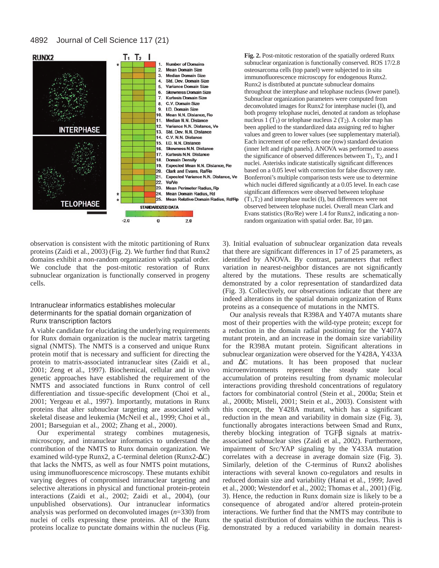#### 4892 Journal of Cell Science 117 (21)



observation is consistent with the mitotic partitioning of Runx proteins (Zaidi et al., 2003) (Fig. 2). We further find that Runx2 domains exhibit a non-random organization with spatial order. We conclude that the post-mitotic restoration of Runx subnuclear organization is functionally conserved in progeny cells.

#### Intranuclear informatics establishes molecular determinants for the spatial domain organization of Runx transcription factors

A viable candidate for elucidating the underlying requirements for Runx domain organization is the nuclear matrix targeting signal (NMTS). The NMTS is a conserved and unique Runx protein motif that is necessary and sufficient for directing the protein to matrix-associated intranuclear sites (Zaidi et al., 2001; Zeng et al., 1997). Biochemical, cellular and in vivo genetic approaches have established the requirement of the NMTS and associated functions in Runx control of cell differentiation and tissue-specific development (Choi et al., 2001; Yergeau et al., 1997). Importantly, mutations in Runx proteins that alter subnuclear targeting are associated with skeletal disease and leukemia (McNeil et al., 1999; Choi et al., 2001; Barseguian et al., 2002; Zhang et al., 2000).

Our experimental strategy combines mutagenesis, microscopy, and intranuclear informatics to understand the contribution of the NMTS to Runx domain organization. We examined wild-type Runx2, a C-terminal deletion (Runx2-∆C) that lacks the NMTS, as well as four NMTS point mutations, using immunofluorescence microscopy. These mutants exhibit varying degrees of compromised intranuclear targeting and selective alterations in physical and functional protein-protein interactions (Zaidi et al., 2002; Zaidi et al., 2004), (our unpublished observations). Our intranuclear informatics analysis was performed on deconvoluted images (*n*=330) from nuclei of cells expressing these proteins. All of the Runx proteins localize to punctate domains within the nucleus (Fig.

**Fig. 2.** Post-mitotic restoration of the spatially ordered Runx subnuclear organization is functionally conserved. ROS 17/2.8 osteosarcoma cells (top panel) were subjected to in situ immunofluorescence microscopy for endogenous Runx2. Runx2 is distributed at punctate subnuclear domains throughout the interphase and telophase nucleus (lower panel). Subnuclear organization parameters were computed from deconvoluted images for Runx2 for interphase nuclei (I), and both progeny telophase nuclei, denoted at random as telophase nucleus 1 (T<sub>1</sub>) or telophase nucleus 2 (T<sub>2</sub>). A color map has been applied to the standardized data assigning red to higher values and green to lower values (see supplementary material). Each increment of one reflects one (row) standard deviation (inner left and right panels). ANOVA was performed to assess the significance of observed differences between  $T_1$ ,  $T_2$ , and I nuclei. Asterisks indicate statistically significant differences based on a 0.05 level with correction for false discovery rate. Bonferroni's multiple comparison tests were use to determine which nuclei differed significantly at a 0.05 level. In each case significant differences were observed between telophase  $(T_1, T_2)$  and interphase nuclei (I), but differences were not observed between telophase nuclei. Overall mean Clark and Evans statistics (Ro/Re) were 1.4 for Runx2, indicating a nonrandom organization with spatial order. Bar, 10 µm.

3). Initial evaluation of subnuclear organization data reveals that there are significant differences in 17 of 25 parameters, as identified by ANOVA. By contrast, parameters that reflect variation in nearest-neighbor distances are not significantly altered by the mutations. These results are schematically demonstrated by a color representation of standardized data (Fig. 3). Collectively, our observations indicate that there are indeed alterations in the spatial domain organization of Runx proteins as a consequence of mutations in the NMTS.

Our analysis reveals that R398A and Y407A mutants share most of their properties with the wild-type protein; except for a reduction in the domain radial positioning for the Y407A mutant protein, and an increase in the domain size variability for the R398A mutant protein. Significant alterations in subnuclear organization were observed for the Y428A, Y433A and ∆C mutations. It has been proposed that nuclear microenvironments represent the steady state local accumulation of proteins resulting from dynamic molecular interactions providing threshold concentrations of regulatory factors for combinatorial control (Stein et al., 2000a; Stein et al., 2000b; Misteli, 2001; Stein et al., 2003). Consistent with this concept, the Y428A mutant, which has a significant reduction in the mean and variability in domain size (Fig. 3), functionally abrogates interactions between Smad and Runx, thereby blocking integration of TGFβ signals at matrixassociated subnuclear sites (Zaidi et al., 2002). Furthermore, impairment of Src/YAP signaling by the Y433A mutation correlates with a decrease in average domain size (Fig. 3). Similarly, deletion of the C-terminus of Runx2 abolishes interactions with several known co-regulators and results in reduced domain size and variability (Hanai et al., 1999; Javed et al., 2000; Westendorf et al., 2002; Thomas et al., 2001) (Fig. 3). Hence, the reduction in Runx domain size is likely to be a consequence of abrogated and/or altered protein-protein interactions. We further find that the NMTS may contribute to the spatial distribution of domains within the nucleus. This is demonstrated by a reduced variability in domain nearest-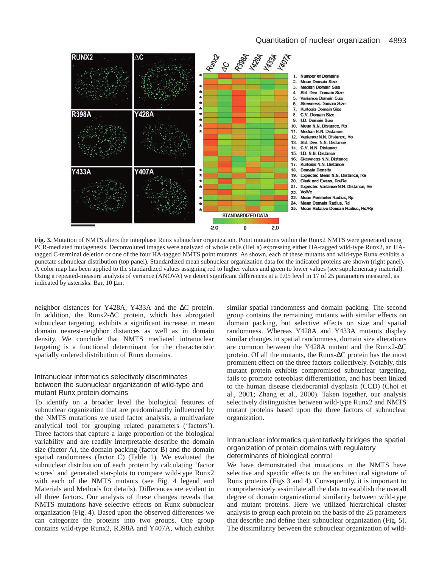

**Fig. 3.** Mutation of NMTS alters the interphase Runx subnuclear organization. Point mutations within the Runx2 NMTS were generated using PCR-mediated mutagenesis. Deconvoluted images were analyzed of whole cells (HeLa) expressing either HA-tagged wild-type Runx2, an HAtagged C-terminal deletion or one of the four HA-tagged NMTS point mutants. As shown, each of these mutants and wild-type Runx exhibits a punctate subnuclear distribution (top panel). Standardized mean subnuclear organization data for the indicated proteins are shown (right panel). A color map has been applied to the standardized values assigning red to higher values and green to lower values (see supplementary material). Using a repeated-measure analysis of variance (ANOVA) we detect significant differences at a 0.05 level in 17 of 25 parameters measured, as indicated by asterisks. Bar, 10 µm.

neighbor distances for Y428A, Y433A and the ∆C protein. In addition, the Runx2-∆C protein, which has abrogated subnuclear targeting, exhibits a significant increase in mean domain nearest-neighbor distances as well as in domain density. We conclude that NMTS mediated intranuclear targeting is a functional determinant for the characteristic spatially ordered distribution of Runx domains.

#### Intranuclear informatics selectively discriminates between the subnuclear organization of wild-type and mutant Runx protein domains

To identify on a broader level the biological features of subnuclear organization that are predominantly influenced by the NMTS mutations we used factor analysis, a multivariate analytical tool for grouping related parameters ('factors'). Three factors that capture a large proportion of the biological variability and are readily interpretable describe the domain size (factor A), the domain packing (factor B) and the domain spatial randomness (factor C) (Table 1). We evaluated the subnuclear distribution of each protein by calculating 'factor scores' and generated star-plots to compare wild-type Runx2 with each of the NMTS mutants (see Fig. 4 legend and Materials and Methods for details). Differences are evident in all three factors. Our analysis of these changes reveals that NMTS mutations have selective effects on Runx subnuclear organization (Fig. 4). Based upon the observed differences we can categorize the proteins into two groups. One group contains wild-type Runx2, R398A and Y407A, which exhibit similar spatial randomness and domain packing. The second group contains the remaining mutants with similar effects on domain packing, but selective effects on size and spatial randomness. Whereas Y428A and Y433A mutants display similar changes in spatial randomness, domain size alterations are common between the Y428A mutant and the Runx2-∆C protein. Of all the mutants, the Runx-∆C protein has the most prominent effect on the three factors collectively. Notably, this mutant protein exhibits compromised subnuclear targeting, fails to promote osteoblast differentiation, and has been linked to the human disease cleidocranial dysplasia (CCD) (Choi et al., 2001; Zhang et al., 2000). Taken together, our analysis selectively distinguishes between wild-type Runx2 and NMTS mutant proteins based upon the three factors of subnuclear organization.

#### Intranuclear informatics quantitatively bridges the spatial organization of protein domains with regulatory determinants of biological control

We have demonstrated that mutations in the NMTS have selective and specific effects on the architectural signature of Runx proteins (Figs 3 and 4). Consequently, it is important to comprehensively assimilate all the data to establish the overall degree of domain organizational similarity between wild-type and mutant proteins. Here we utilized hierarchical cluster analysis to group each protein on the basis of the 25 parameters that describe and define their subnuclear organization (Fig. 5). The dissimilarity between the subnuclear organization of wild-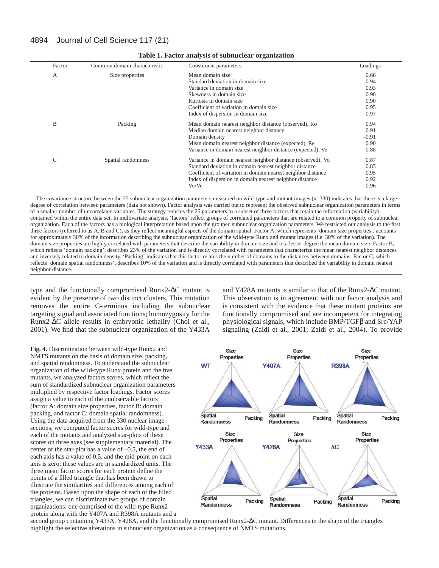#### 4894 Journal of Cell Science 117 (21)

|  | Factor | Common domain characteristic | Constituent parameters                                       | Loadings |
|--|--------|------------------------------|--------------------------------------------------------------|----------|
|  | А      | Size properties              | Mean domain size                                             | 0.66     |
|  |        |                              | Standard deviation in domain size                            | 0.94     |
|  |        |                              | Variance in domain size                                      | 0.93     |
|  |        |                              | Skewness in domain size                                      | 0.90     |
|  |        |                              | Kurtosis in domain size                                      | 0.90     |
|  |        |                              | Coefficient of variation in domain size                      | 0.95     |
|  |        |                              | Index of dispersion in domain size                           | 0.97     |
|  | B      | Packing                      | Mean domain nearest neighbor distance (observed), Ro         | 0.94     |
|  |        |                              | Median domain nearest neighbor distance                      | 0.91     |
|  |        |                              | Domain density                                               | $-0.91$  |
|  |        |                              | Mean domain nearest neighbor distance (expected), Re         | 0.90     |
|  |        |                              | Variance in domain nearest neighbor distance (expected), Ve  | 0.88     |
|  | C      | Spatial randomness           | Variance in domain nearest neighbor distance (observed), Vo  | 0.87     |
|  |        |                              | Standard deviation in domain nearest neighbor distance       | 0.85     |
|  |        |                              | Coefficient of variation in domain nearest neighbor distance | 0.95     |
|  |        |                              | Index of dispersion in domain nearest neighbor distance      | 0.92     |
|  |        |                              | $\rm Vo/Ve$                                                  | 0.96     |
|  |        |                              |                                                              |          |

**Table 1. Factor analysis of subnuclear organization**

The covariance structure between the 25 subnuclear organization parameters measured on wild-type and mutant images  $(n=330)$  indicates that there is a large degree of correlation between parameters (data not shown). Factor analysis was carried out to represent the observed subnuclear organization parameters in terms of a smaller number of uncorrelated variables. The strategy reduces the 25 parameters to a subset of three factors that retain the information (variability) contained within the entire data set. In multivariate analysis, 'factors' reflect groups of correlated parameters that are related to a common property of subnuclear organization. Each of the factors has a biological interpretation based upon the grouped subnuclear organization parameters. We restricted our analysis to the first three factors (referred to as A, B and C), as they reflect meaningful aspects of the domain spatial. Factor A, which represents 'domain size properties', accounts for approximately 30% of the information describing the subnuclear organization of the wild-type Runx and mutant images (i.e. 30% of the variation). The domain size properties are highly correlated with parameters that describe the variability in domain size and to a lesser degree the mean domain size. Factor B, which reflects 'domain packing', describes 23% of the variation and is directly correlated with parameters that characterize the mean nearest neighbor distances and inversely related to domain density. 'Packing' indicates that this factor relates the number of domains to the distances between domains. Factor C, which reflects 'domain spatial randomness', describes 10% of the variation and is directly correlated with parameters that described the variability in domain nearest neighbor distance.

type and the functionally compromised Runx2-∆C mutant is evident by the presence of two distinct clusters. This mutation removes the entire C-terminus including the subnuclear targeting signal and associated functions; homozygosity for the Runx2-∆C allele results in embryonic lethality (Choi et al., 2001). We find that the subnuclear organization of the Y433A

and Y428A mutants is similar to that of the Runx2-∆C mutant. This observation is in agreement with our factor analysis and is consistent with the evidence that these mutant proteins are functionally compromised and are incompetent for integrating physiological signals, which include BMP/TGFβ and Src/YAP signaling (Zaidi et al., 2001; Zaidi et al., 2004). To provide

**Fig. 4.** Discrimination between wild-type Runx2 and NMTS mutants on the basis of domain size, packing, and spatial randomness. To understand the subnuclear organization of the wild-type Runx protein and the five mutants, we analyzed factors scores, which reflect the sum of standardized subnuclear organization parameters multiplied by respective factor loadings. Factor scores assign a value to each of the unobservable factors (factor A: domain size properties, factor B: domain packing, and factor C: domain spatial randomness). Using the data acquired from the 330 nuclear image sections, we computed factor scores for wild-type and each of the mutants and analyzed star-plots of these scores on three axes (see supplementary material). The center of the star-plot has a value of –0.5, the end of each axis has a value of 0.5, and the mid-point on each axis is zero; these values are in standardized units. The three mean factor scores for each protein define the points of a filled triangle that has been drawn to illustrate the similarities and differences among each of the proteins. Based upon the shape of each of the filled triangles, we can discriminate two groups of domain organizations: one comprised of the wild-type Runx2 protein along with the Y407A and R398A mutants and a



second group containing Y433A, Y428A, and the functionally compromised Runx2-∆C mutant. Differences in the shape of the triangles highlight the selective alterations in subnuclear organization as a consequence of NMTS mutations.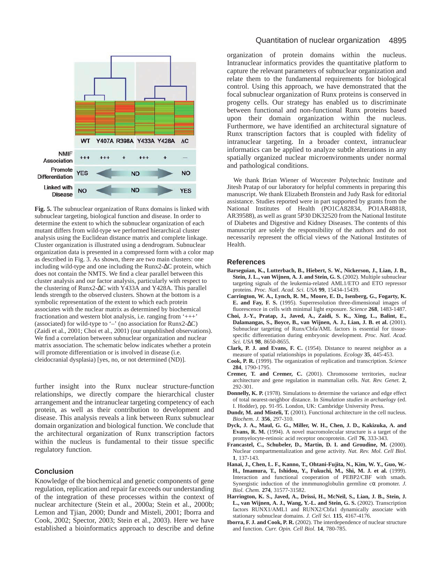

**Fig. 5.** The subnuclear organization of Runx domains is linked with subnuclear targeting, biological function and disease. In order to determine the extent to which the subnuclear organization of each mutant differs from wild-type we performed hierarchical cluster analysis using the Euclidean distance matrix and complete linkage. Cluster organization is illustrated using a dendrogram. Subnuclear organization data is presented in a compressed form with a color map as described in Fig. 3. As shown, there are two main clusters: one including wild-type and one including the Runx2-∆C protein, which does not contain the NMTS. We find a clear parallel between this cluster analysis and our factor analysis, particularly with respect to the clustering of Runx2-∆C with Y433A and Y428A. This parallel lends strength to the observed clusters. Shown at the bottom is a symbolic representation of the extent to which each protein associates with the nuclear matrix as determined by biochemical fractionation and western blot analysis, i.e. ranging from '+++' (associated) for wild-type to '–' (no association for Runx2-∆C) (Zaidi et al., 2001; Choi et al., 2001) (our unpublished observations). We find a correlation between subnuclear organization and nuclear matrix association. The schematic below indicates whether a protein will promote differentiation or is involved in disease (i.e. cleidocranial dysplasia) [yes, no, or not determined (ND)].

further insight into the Runx nuclear structure-function relationships, we directly compare the hierarchical cluster arrangement and the intranuclear targeting competency of each protein, as well as their contribution to development and disease. This analysis reveals a link between Runx subnuclear domain organization and biological function. We conclude that the architectural organization of Runx transcription factors within the nucleus is fundamental to their tissue specific regulatory function.

#### **Conclusion**

Knowledge of the biochemical and genetic components of gene regulation, replication and repair far exceeds our understanding of the integration of these processes within the context of nuclear architecture (Stein et al., 2000a; Stein et al., 2000b; Lemon and Tjian, 2000; Dundr and Misteli, 2001; Iborra and Cook, 2002; Spector, 2003; Stein et al., 2003). Here we have established a bioinformatics approach to describe and define

### Quantitation of nuclear organization 4895

organization of protein domains within the nucleus. Intranuclear informatics provides the quantitative platform to capture the relevant parameters of subnuclear organization and relate them to the fundamental requirements for biological control. Using this approach, we have demonstrated that the focal subnuclear organization of Runx proteins is conserved in progeny cells. Our strategy has enabled us to discriminate between functional and non-functional Runx proteins based upon their domain organization within the nucleus. Furthermore, we have identified an architectural signature of Runx transcription factors that is coupled with fidelity of intranuclear targeting. In a broader context, intranuclear informatics can be applied to analyze subtle alterations in any spatially organized nuclear microenvironments under normal and pathological conditions.

We thank Brian Wiener of Worcester Polytechnic Institute and Jitesh Pratap of our laboratory for helpful comments in preparing this manuscript. We thank Elizabeth Bronstein and Judy Rask for editorial assistance. Studies reported were in part supported by grants from the National Institutes of Health (PO1CA82834, PO1AR48818, AR39588), as well as grant 5P30 DK32520 from the National Institute of Diabetes and Digestive and Kidney Diseases. The contents of this manuscript are solely the responsibility of the authors and do not necessarily represent the official views of the National Institutes of Health.

#### **References**

- **Barseguian, K., Lutterbach, B., Hiebert, S. W., Nickerson, J., Lian, J. B., Stein, J. L., van Wijnen, A. J. and Stein, G. S.** (2002). Multiple subnuclear targeting signals of the leukemia-related AML1/ETO and ETO repressor proteins. *Proc. Natl. Acad. Sci. USA* **99**, 15434-15439.
- **Carrington, W. A., Lynch, R. M., Moore, E. D., Isenberg, G., Fogarty, K. E. and Fay, F. S.** (1995). Superresolution three-dimensional images of fluorescence in cells with minimal light exposure. *Science* **268**, 1483-1487.
- **Choi, J.-Y., Pratap, J., Javed, A., Zaidi, S. K., Xing, L., Balint, E., Dalamangas, S., Boyce, B., van Wijnen, A. J., Lian, J. B. et al.** (2001). Subnuclear targeting of Runx/Cbfa/AML factors is essential for tissuespecific differentiation during embryonic development. *Proc. Natl. Acad. Sci. USA* **98**, 8650-8655.
- **Clark, P. J. and Evans, F. C.** (1954). Distance to nearest neighbor as a measure of spatial relationships in populations. *Ecology* **35**, 445-453.
- **Cook, P. R.** (1999). The organization of replication and transcription. *Science* **284**, 1790-1795.
- **Cremer, T. and Cremer, C.** (2001). Chromosome territories, nuclear architecture and gene regulation in mammalian cells. *Nat. Rev. Genet.* **2**, 292-301.
- **Donnelly, K. P.** (1978). Simulations to determine the variance and edge effect of total nearest-neighbor distance. In *Simulation studies in archaelogy* (ed. I. Hodder), pp. 91-95. London, UK: Cambridge University Press.
- **Dundr, M. and Misteli, T.** (2001). Functional architecture in the cell nucleus. *Biochem. J.* **356**, 297-310.
- **Dyck, J. A., Maul, G. G., Miller, W. H., Chen, J. D., Kakizuka, A. and Evans, R. M.** (1994). A novel macromolecular structure is a target of the promyelocyte-retinoic acid receptor oncoprotein. *Cell* **76**, 333-343.
- **Francastel, C., Schubeler, D., Martin, D. I. and Groudine, M.** (2000). Nuclear compartmentalization and gene activity. *Nat. Rev. Mol. Cell Biol.* **1**, 137-143.
- **Hanai, J., Chen, L. F., Kanno, T., Ohtani-Fujita, N., Kim, W. Y., Guo, W.- H., Imamura, T., Ishidou, Y., Fukuchi, M., Shi, M. J. et al.** (1999). Interaction and functional cooperation of PEBP2/CBF with smads. Synergistic induction of the immmunoglobulin germline cα promoter. *J. Biol. Chem.* **274**, 31577-31582.
- **Harrington, K. S., Javed, A., Drissi, H., McNeil, S., Lian, J. B., Stein, J.** L., van Wijnen, A. J., Wang, Y.-L. and Stein, G. S. (2002). Transcription factors RUNX1/AML1 and RUNX2/Cbfa1 dynamically associate with stationary subnuclear domains. *J. Cell Sci.* **115**, 4167-4176.
- **Iborra, F. J. and Cook, P. R.** (2002). The interdependence of nuclear structure and function. *Curr. Opin. Cell Biol.* **14**, 780-785.